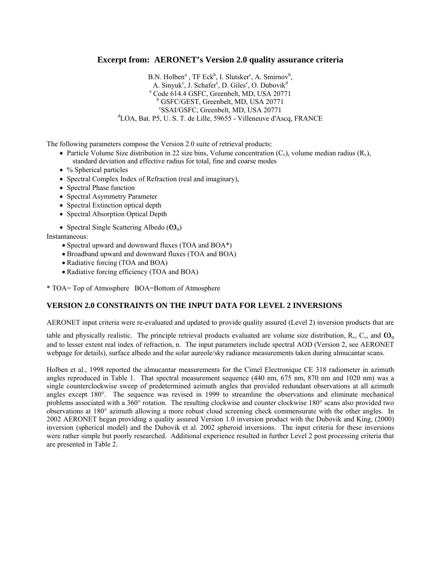## **Excerpt from: AERONET's Version 2.0 quality assurance criteria**

 $B.N.$  Holben<sup>a</sup>, TF Eck<sup>b</sup>, I. Slutsker<sup>c</sup>, A. Smirnov<sup>b</sup>, A. Sinyuk<sup>c</sup>, J. Schafer<sup>c</sup>, D. Giles<sup>c</sup>, O. Dubovik<sup>d</sup> a Code 614.4 GSFC, Greenbelt, MD, USA 20771 b GSFC/GEST, Greenbelt, MD, USA 20771 c SSAI/GSFC, Greenbelt, MD, USA 20771 d LOA, Bat. P5, U. S. T. de Lille, 59655 - Villeneuve d'Ascq, FRANCE

The following parameters compose the Version 2.0 suite of retrieval products:

- Particle Volume Size distribution in 22 size bins, Volume concentration  $(C_v)$ , volume median radius  $(R_v)$ , standard deviation and effective radius for total, fine and coarse modes
- % Spherical particles
- Spectral Complex Index of Refraction (real and imaginary),
- Spectral Phase function
- Spectral Asymmetry Parameter
- Spectral Extinction optical depth
- Spectral Absorption Optical Depth
- Spectral Single Scattering Albedo  $(\mathbf{O}_0)$

Instantaneous:

- Spectral upward and downward fluxes (TOA and BOA\*)
- Broadband upward and downward fluxes (TOA and BOA)
- Radiative forcing (TOA and BOA)
- Radiative forcing efficiency (TOA and BOA)

\* TOA= Top of Atmosphere BOA=Bottom of Atmosphere

## **VERSION 2.0 CONSTRAINTS ON THE INPUT DATA FOR LEVEL 2 INVERSIONS**

AERONET input criteria were re-evaluated and updated to provide quality assured (Level 2) inversion products that are

table and physically realistic. The principle retrieval products evaluated are volume size distribution,  $R_v$ ,  $C_v$ , and  $\omega_o$ and to lesser extent real index of refraction, n. The input parameters include spectral AOD (Version 2, see AERONET webpage for details), surface albedo and the solar aureole/sky radiance measurements taken during almucantar scans.

Holben et al., 1998 reported the almucantar measurements for the Cimel Electronique CE 318 radiometer in azimuth angles reproduced in Table 1. That spectral measurement sequence (440 nm, 675 nm, 870 nm and 1020 nm) was a single counterclockwise sweep of predetermined azimuth angles that provided redundant observations at all azimuth angles except 180°. The sequence was revised in 1999 to streamline the observations and eliminate mechanical problems associated with a 360° rotation. The resulting clockwise and counter clockwise 180° scans also provided two observations at 180° azimuth allowing a more robust cloud screening check commensurate with the other angles. In 2002 AERONET began providing a quality assured Version 1.0 inversion product with the Dubovik and King, (2000) inversion (spherical model) and the Dubovik et al. 2002 spheroid inversions. The input criteria for these inversions were rather simple but poorly researched. Additional experience resulted in further Level 2 post processing criteria that are presented in Table 2.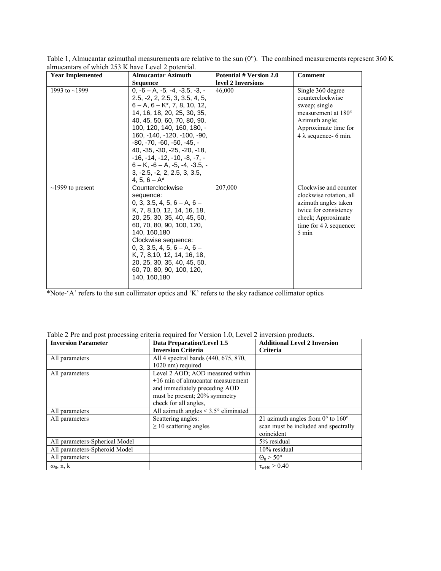| <b>Year Implemented</b> | <b>Almucantar Azimuth</b>                                                                                                                                                                                                                                                                                                                                                                                                                       | <b>Potential # Version 2.0</b> | Comment                                                                                                                                                            |
|-------------------------|-------------------------------------------------------------------------------------------------------------------------------------------------------------------------------------------------------------------------------------------------------------------------------------------------------------------------------------------------------------------------------------------------------------------------------------------------|--------------------------------|--------------------------------------------------------------------------------------------------------------------------------------------------------------------|
|                         | <b>Sequence</b>                                                                                                                                                                                                                                                                                                                                                                                                                                 | level 2 Inversions             |                                                                                                                                                                    |
| 1993 to $\sim$ 1999     | $0, -6 - A, -5, -4, -3.5, -3, -$<br>$2.5. -2. 2. 2.5. 3. 3.5. 4. 5.$<br>$6 - A$ , $6 - K^*$ , 7, 8, 10, 12,<br>14, 16, 18, 20, 25, 30, 35,<br>40, 45, 50, 60, 70, 80, 90,<br>100, 120, 140, 160, 180, -<br>160. -140. -120. -100. -90.<br>$-80. -70. -60. -50. -45. -$<br>40, -35, -30, -25, -20, -18,<br>$-16. -14. -12. -10. -8. -7. -$<br>$6 - K$ . $-6 - A$ . $-5$ . $-4$ . $-3.5$ . -<br>$3, -2.5, -2, 2, 2.5, 3, 3.5,$<br>4, 5, $6 - A^*$ | 46.000                         | Single 360 degree<br>counterclockwise<br>sweep; single<br>measurement at 180°<br>Azimuth angle:<br>Approximate time for<br>$4 \lambda$ sequence- 6 min.            |
| $\sim$ 1999 to present  | Counterclockwise<br>sequence:<br>$0, 3, 3.5, 4, 5, 6 - A, 6 -$<br>K. 7. 8.10. 12. 14. 16. 18.<br>20, 25, 30, 35, 40, 45, 50,<br>60, 70, 80, 90, 100, 120,<br>140.160.180<br>Clockwise sequence:<br>$0, 3, 3.5, 4, 5, 6 - A, 6 -$<br>K, 7, 8, 10, 12, 14, 16, 18,<br>20, 25, 30, 35, 40, 45, 50,<br>60, 70, 80, 90, 100, 120,<br>140, 160, 180                                                                                                   | 207,000                        | Clockwise and counter<br>clockwise rotation, all<br>azimuth angles taken<br>twice for consistency<br>check; Approximate<br>time for $4 \lambda$ sequence:<br>5 min |

Table 1, Almucantar azimuthal measurements are relative to the sun  $(0^{\circ})$ . The combined measurements represent 360 K almucantars of which 253 K have Level 2 potential.

\*Note-'A' refers to the sun collimator optics and 'K' refers to the sky radiance collimator optics

| Table 2 Pre and post processing criteria required for Version 1.0, Level 2 inversion products. |  |  |  |  |  |  |  |  |
|------------------------------------------------------------------------------------------------|--|--|--|--|--|--|--|--|
|------------------------------------------------------------------------------------------------|--|--|--|--|--|--|--|--|

| <b>Inversion Parameter</b>     | Data Preparation/Level 1.5                       | <b>Additional Level 2 Inversion</b>                 |
|--------------------------------|--------------------------------------------------|-----------------------------------------------------|
|                                | <b>Inversion Criteria</b>                        | Criteria                                            |
| All parameters                 | All 4 spectral bands (440, 675, 870,             |                                                     |
|                                | 1020 nm) required                                |                                                     |
| All parameters                 | Level 2 AOD; AOD measured within                 |                                                     |
|                                | $\pm 16$ min of almucantar measurement           |                                                     |
|                                | and immediately preceding AOD                    |                                                     |
|                                | must be present; 20% symmetry                    |                                                     |
|                                | check for all angles,                            |                                                     |
| All parameters                 | All azimuth angles $\leq 3.5^{\circ}$ eliminated |                                                     |
| All parameters                 | Scattering angles:                               | 21 azimuth angles from $0^{\circ}$ to $160^{\circ}$ |
|                                | $\geq$ 10 scattering angles                      | scan must be included and spectrally                |
|                                |                                                  | coincident                                          |
| All parameters-Spherical Model |                                                  | 5% residual                                         |
| All parameters-Spheroid Model  |                                                  | 10% residual                                        |
| All parameters                 |                                                  | $\Theta_0 > 50^\circ$                               |
| $\omega_0$ , n, k              |                                                  | $\tau_{a440} > 0.40$                                |